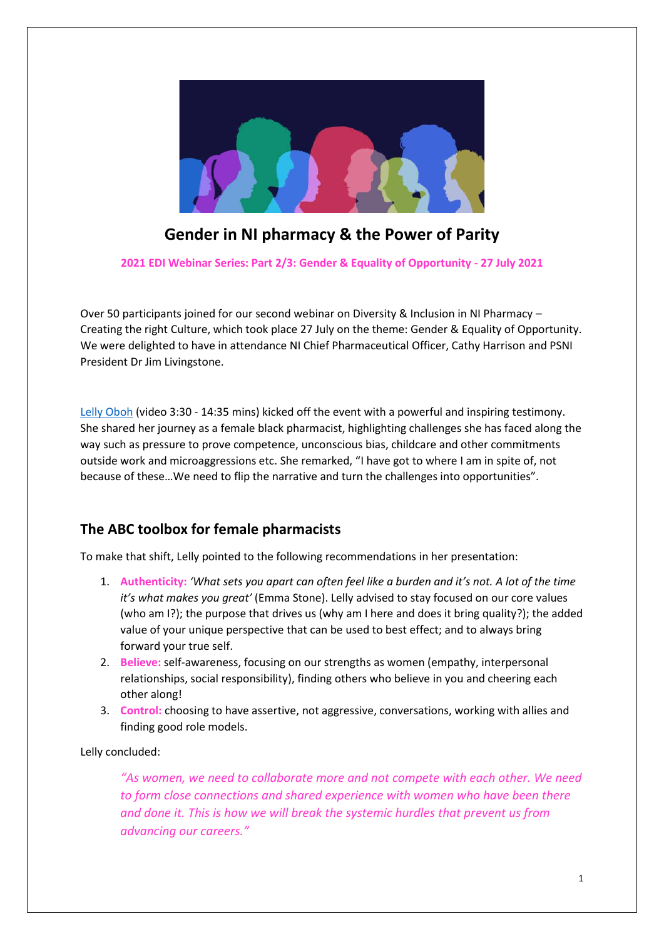

# **Gender in NI pharmacy & the Power of Parity**

**2021 EDI Webinar Series: Part 2/3: Gender & Equality of Opportunity - 27 July 2021**

Over 50 participants joined for our second webinar on Diversity & Inclusion in NI Pharmacy – Creating the right Culture, which took place 27 July on the theme: Gender & Equality of Opportunity. We were delighted to have in attendance NI Chief Pharmaceutical Officer, Cathy Harrison and PSNI President Dr Jim Livingstone.

Lelly [Oboh](https://www.pharmacycongress.co.uk/2020-newsletter-27/05/latest-news/lelly-oboh-interview) (video 3:30 - 14:35 mins) kicked off the event with a powerful and inspiring testimony. She shared her journey as a female black pharmacist, highlighting challenges she has faced along the way such as pressure to prove competence, unconscious bias, childcare and other commitments outside work and microaggressions etc. She remarked, "I have got to where I am in spite of, not because of these…We need to flip the narrative and turn the challenges into opportunities".

#### **The ABC toolbox for female pharmacists**

To make that shift, Lelly pointed to the following recommendations in her presentation:

- 1. **Authenticity:** *'What sets you apart can often feel like a burden and it's not. A lot of the time it's what makes you great'* (Emma Stone). Lelly advised to stay focused on our core values (who am I?); the purpose that drives us (why am I here and does it bring quality?); the added value of your unique perspective that can be used to best effect; and to always bring forward your true self.
- 2. **Believe:** self-awareness, focusing on our strengths as women (empathy, interpersonal relationships, social responsibility), finding others who believe in you and cheering each other along!
- 3. **Control:** choosing to have assertive, not aggressive, conversations, working with allies and finding good role models.

Lelly concluded:

*"As women, we need to collaborate more and not compete with each other. We need to form close connections and shared experience with women who have been there and done it. This is how we will break the systemic hurdles that prevent us from advancing our careers."*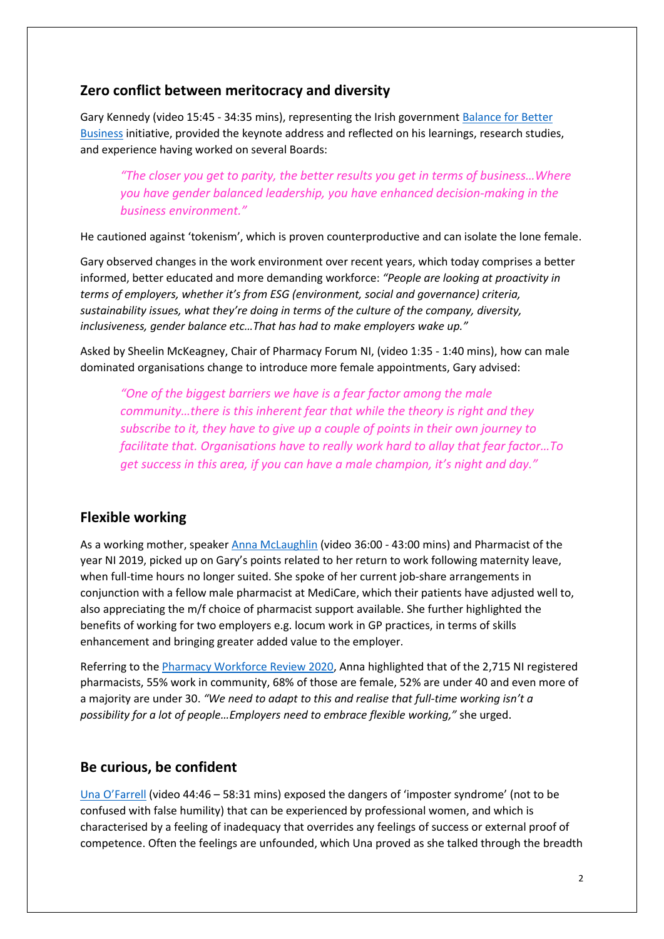#### **Zero conflict between meritocracy and diversity**

Gary Kennedy (video 15:45 - 34:35 mins), representing the Irish governmen[t Balance for Better](https://www.betterbalance.ie/)  [Business](https://www.betterbalance.ie/) initiative, provided the keynote address and reflected on his learnings, research studies, and experience having worked on several Boards:

*"The closer you get to parity, the better results you get in terms of business…Where you have gender balanced leadership, you have enhanced decision-making in the business environment."*

He cautioned against 'tokenism', which is proven counterproductive and can isolate the lone female.

Gary observed changes in the work environment over recent years, which today comprises a better informed, better educated and more demanding workforce: *"People are looking at proactivity in terms of employers, whether it's from ESG (environment, social and governance) criteria, sustainability issues, what they're doing in terms of the culture of the company, diversity, inclusiveness, gender balance etc…That has had to make employers wake up."*

Asked by Sheelin McKeagney, Chair of Pharmacy Forum NI, (video 1:35 - 1:40 mins), how can male dominated organisations change to introduce more female appointments, Gary advised:

*"One of the biggest barriers we have is a fear factor among the male community…there is this inherent fear that while the theory is right and they subscribe to it, they have to give up a couple of points in their own journey to facilitate that. Organisations have to really work hard to allay that fear factor…To get success in this area, if you can have a male champion, it's night and day."*

## **Flexible working**

As a working mother, speake[r Anna McLaughlin](https://twitter.com/medicare_group/status/957356761459118085?lang=en-gb) (video 36:00 - 43:00 mins) and Pharmacist of the year NI 2019, picked up on Gary's points related to her return to work following maternity leave, when full-time hours no longer suited. She spoke of her current job-share arrangements in conjunction with a fellow male pharmacist at MediCare, which their patients have adjusted well to, also appreciating the m/f choice of pharmacist support available. She further highlighted the benefits of working for two employers e.g. locum work in GP practices, in terms of skills enhancement and bringing greater added value to the employer.

Referring to the [Pharmacy Workforce Review 2020,](https://www.health-ni.gov.uk/publications/pharmacy-workforce-review-2020) Anna highlighted that of the 2,715 NI registered pharmacists, 55% work in community, 68% of those are female, 52% are under 40 and even more of a majority are under 30. *"We need to adapt to this and realise that full-time working isn't a possibility for a lot of people…Employers need to embrace flexible working,"* she urged.

#### **Be curious, be confident**

[Una O'Farrell](https://www.the-pda.org/new-pda-regional-official-for-members-in-northern-ireland/) (video 44:46 – 58:31 mins) exposed the dangers of 'imposter syndrome' (not to be confused with false humility) that can be experienced by professional women, and which is characterised by a feeling of inadequacy that overrides any feelings of success or external proof of competence. Often the feelings are unfounded, which Una proved as she talked through the breadth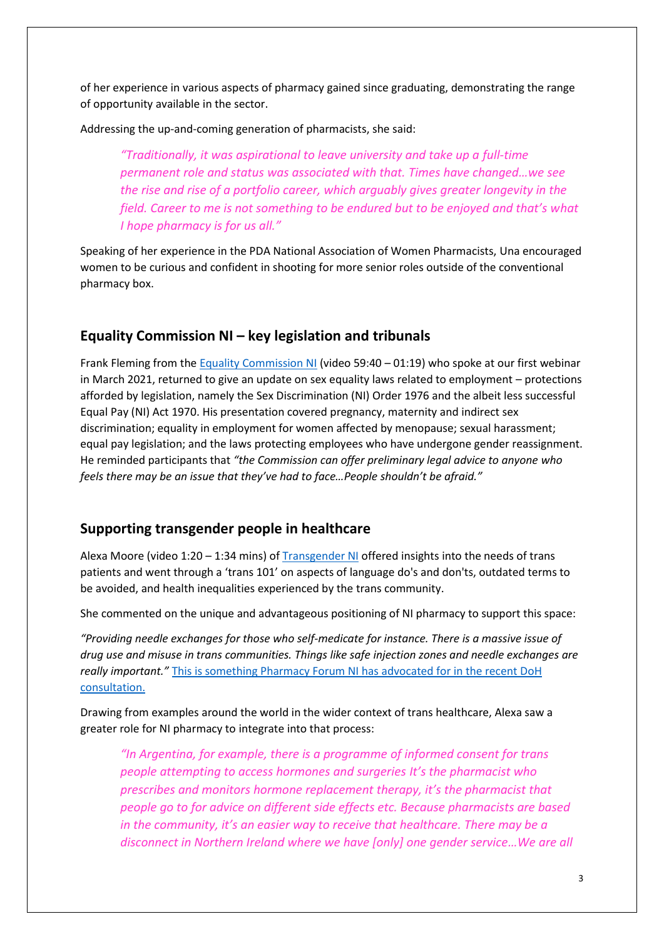of her experience in various aspects of pharmacy gained since graduating, demonstrating the range of opportunity available in the sector.

Addressing the up-and-coming generation of pharmacists, she said:

*"Traditionally, it was aspirational to leave university and take up a full-time permanent role and status was associated with that. Times have changed…we see the rise and rise of a portfolio career, which arguably gives greater longevity in the field. Career to me is not something to be endured but to be enjoyed and that's what I hope pharmacy is for us all."*

Speaking of her experience in the PDA National Association of Women Pharmacists, Una encouraged women to be curious and confident in shooting for more senior roles outside of the conventional pharmacy box.

# **Equality Commission NI – key legislation and tribunals**

Frank Fleming from the [Equality Commission NI](https://www.equalityni.org/Home) (video 59:40 – 01:19) who spoke at our first webinar in March 2021, returned to give an update on sex equality laws related to employment – protections afforded by legislation, namely the Sex Discrimination (NI) Order 1976 and the albeit less successful Equal Pay (NI) Act 1970. His presentation covered pregnancy, maternity and indirect sex discrimination; equality in employment for women affected by menopause; sexual harassment; equal pay legislation; and the laws protecting employees who have undergone gender reassignment. He reminded participants that *"the Commission can offer preliminary legal advice to anyone who feels there may be an issue that they've had to face…People shouldn't be afraid."*

## **Supporting transgender people in healthcare**

Alexa Moore (video 1:20 – 1:34 mins) of [Transgender NI](https://transgenderni.org.uk/) offered insights into the needs of trans patients and went through a 'trans 101' on aspects of language do's and don'ts, outdated terms to be avoided, and health inequalities experienced by the trans community.

She commented on the unique and advantageous positioning of NI pharmacy to support this space:

*"Providing needle exchanges for those who self-medicate for instance. There is a massive issue of drug use and misuse in trans communities. Things like safe injection zones and needle exchanges are really important."* [This is something Pharmacy Forum NI has advocated for in the recent DoH](https://www.pfni.org.uk/consultation-response-new-substance-use-strategy-for-northern-ireland/)  [consultation.](https://www.pfni.org.uk/consultation-response-new-substance-use-strategy-for-northern-ireland/)

Drawing from examples around the world in the wider context of trans healthcare, Alexa saw a greater role for NI pharmacy to integrate into that process:

*"In Argentina, for example, there is a programme of informed consent for trans people attempting to access hormones and surgeries It's the pharmacist who prescribes and monitors hormone replacement therapy, it's the pharmacist that people go to for advice on different side effects etc. Because pharmacists are based in the community, it's an easier way to receive that healthcare. There may be a disconnect in Northern Ireland where we have [only] one gender service…We are all*